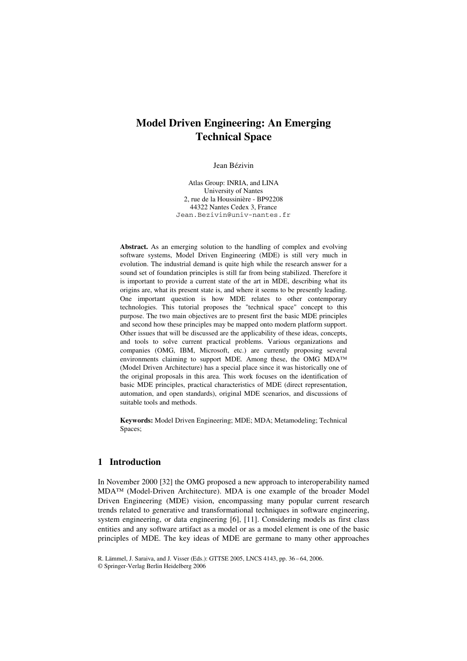# **Model Driven Engineering: An Emerging Technical Space**

Jean Bézivin

Atlas Group: INRIA, and LINA University of Nantes 2, rue de la Houssinière - BP92208 44322 Nantes Cedex 3, France Jean.Bezivin@univ-nantes.fr

**Abstract.** As an emerging solution to the handling of complex and evolving software systems, Model Driven Engineering (MDE) is still very much in evolution. The industrial demand is quite high while the research answer for a sound set of foundation principles is still far from being stabilized. Therefore it is important to provide a current state of the art in MDE, describing what its origins are, what its present state is, and where it seems to be presently leading. One important question is how MDE relates to other contemporary technologies. This tutorial proposes the "technical space" concept to this purpose. The two main objectives are to present first the basic MDE principles and second how these principles may be mapped onto modern platform support. Other issues that will be discussed are the applicability of these ideas, concepts, and tools to solve current practical problems. Various organizations and companies (OMG, IBM, Microsoft, etc.) are currently proposing several environments claiming to support MDE. Among these, the OMG MDA™ (Model Driven Architecture) has a special place since it was historically one of the original proposals in this area. This work focuses on the identification of basic MDE principles, practical characteristics of MDE (direct representation, automation, and open standards), original MDE scenarios, and discussions of suitable tools and methods.

**Keywords:** Model Driven Engineering; MDE; MDA; Metamodeling; Technical Spaces;

## **1 Introduction**

In November 2000 [32] the OMG proposed a new approach to interoperability named MDA™ (Model-Driven Architecture). MDA is one example of the broader Model Driven Engineering (MDE) vision, encompassing many popular current research trends related to generative and transformational techniques in software engineering, system engineering, or data engineering [6], [11]. Considering models as first class entities and any software artifact as a model or as a model element is one of the basic principles of MDE. The key ideas of MDE are germane to many other approaches

R. Lämmel, J. Saraiva, and J. Visser (Eds.): GTTSE 2005, LNCS 4143, pp. 36 – 64, 2006.

<sup>©</sup> Springer-Verlag Berlin Heidelberg 2006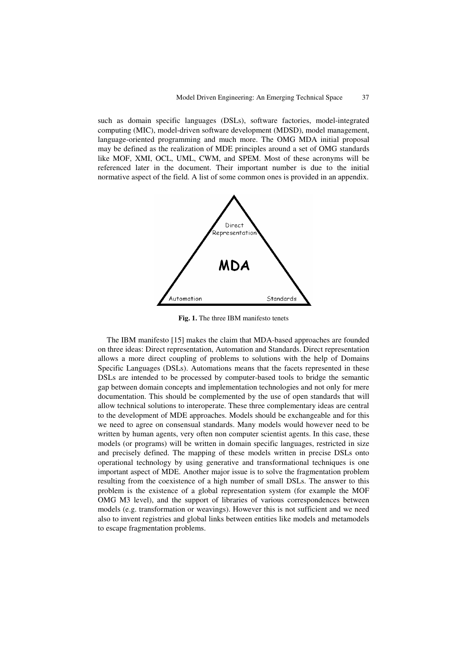such as domain specific languages (DSLs), software factories, model-integrated computing (MIC), model-driven software development (MDSD), model management, language-oriented programming and much more. The OMG MDA initial proposal may be defined as the realization of MDE principles around a set of OMG standards like MOF, XMI, OCL, UML, CWM, and SPEM. Most of these acronyms will be referenced later in the document. Their important number is due to the initial normative aspect of the field. A list of some common ones is provided in an appendix.



**Fig. 1.** The three IBM manifesto tenets

The IBM manifesto [15] makes the claim that MDA-based approaches are founded on three ideas: Direct representation, Automation and Standards. Direct representation allows a more direct coupling of problems to solutions with the help of Domains Specific Languages (DSLs). Automations means that the facets represented in these DSLs are intended to be processed by computer-based tools to bridge the semantic gap between domain concepts and implementation technologies and not only for mere documentation. This should be complemented by the use of open standards that will allow technical solutions to interoperate. These three complementary ideas are central to the development of MDE approaches. Models should be exchangeable and for this we need to agree on consensual standards. Many models would however need to be written by human agents, very often non computer scientist agents. In this case, these models (or programs) will be written in domain specific languages, restricted in size and precisely defined. The mapping of these models written in precise DSLs onto operational technology by using generative and transformational techniques is one important aspect of MDE. Another major issue is to solve the fragmentation problem resulting from the coexistence of a high number of small DSLs. The answer to this problem is the existence of a global representation system (for example the MOF OMG M3 level), and the support of libraries of various correspondences between models (e.g. transformation or weavings). However this is not sufficient and we need also to invent registries and global links between entities like models and metamodels to escape fragmentation problems.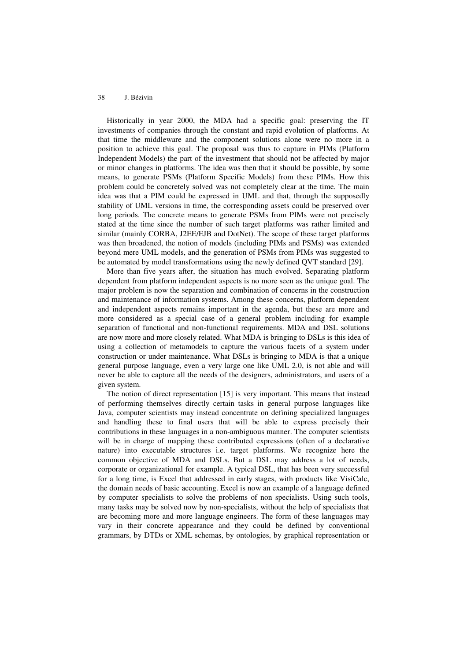Historically in year 2000, the MDA had a specific goal: preserving the IT investments of companies through the constant and rapid evolution of platforms. At that time the middleware and the component solutions alone were no more in a position to achieve this goal. The proposal was thus to capture in PIMs (Platform Independent Models) the part of the investment that should not be affected by major or minor changes in platforms. The idea was then that it should be possible, by some means, to generate PSMs (Platform Specific Models) from these PIMs. How this problem could be concretely solved was not completely clear at the time. The main idea was that a PIM could be expressed in UML and that, through the supposedly stability of UML versions in time, the corresponding assets could be preserved over long periods. The concrete means to generate PSMs from PIMs were not precisely stated at the time since the number of such target platforms was rather limited and similar (mainly CORBA, J2EE/EJB and DotNet). The scope of these target platforms was then broadened, the notion of models (including PIMs and PSMs) was extended beyond mere UML models, and the generation of PSMs from PIMs was suggested to be automated by model transformations using the newly defined QVT standard [29].

More than five years after, the situation has much evolved. Separating platform dependent from platform independent aspects is no more seen as the unique goal. The major problem is now the separation and combination of concerns in the construction and maintenance of information systems. Among these concerns, platform dependent and independent aspects remains important in the agenda, but these are more and more considered as a special case of a general problem including for example separation of functional and non-functional requirements. MDA and DSL solutions are now more and more closely related. What MDA is bringing to DSLs is this idea of using a collection of metamodels to capture the various facets of a system under construction or under maintenance. What DSLs is bringing to MDA is that a unique general purpose language, even a very large one like UML 2.0, is not able and will never be able to capture all the needs of the designers, administrators, and users of a given system.

The notion of direct representation [15] is very important. This means that instead of performing themselves directly certain tasks in general purpose languages like Java, computer scientists may instead concentrate on defining specialized languages and handling these to final users that will be able to express precisely their contributions in these languages in a non-ambiguous manner. The computer scientists will be in charge of mapping these contributed expressions (often of a declarative nature) into executable structures i.e. target platforms. We recognize here the common objective of MDA and DSLs. But a DSL may address a lot of needs, corporate or organizational for example. A typical DSL, that has been very successful for a long time, is Excel that addressed in early stages, with products like VisiCalc, the domain needs of basic accounting. Excel is now an example of a language defined by computer specialists to solve the problems of non specialists. Using such tools, many tasks may be solved now by non-specialists, without the help of specialists that are becoming more and more language engineers. The form of these languages may vary in their concrete appearance and they could be defined by conventional grammars, by DTDs or XML schemas, by ontologies, by graphical representation or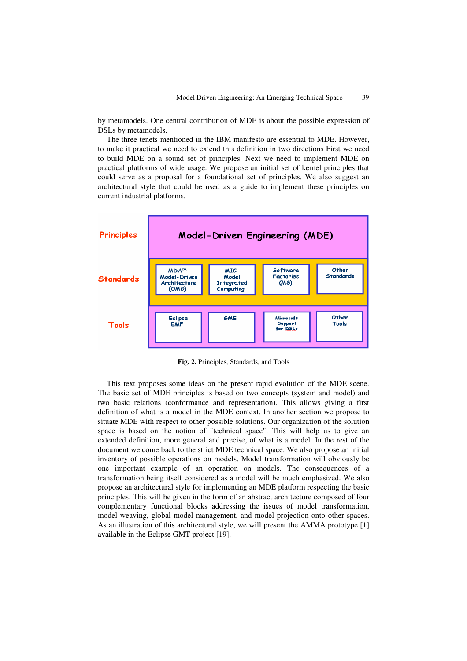by metamodels. One central contribution of MDE is about the possible expression of DSLs by metamodels.

The three tenets mentioned in the IBM manifesto are essential to MDE. However, to make it practical we need to extend this definition in two directions First we need to build MDE on a sound set of principles. Next we need to implement MDE on practical platforms of wide usage. We propose an initial set of kernel principles that could serve as a proposal for a foundational set of principles. We also suggest an architectural style that could be used as a guide to implement these principles on current industrial platforms.



**Fig. 2.** Principles, Standards, and Tools

This text proposes some ideas on the present rapid evolution of the MDE scene. The basic set of MDE principles is based on two concepts (system and model) and two basic relations (conformance and representation). This allows giving a first definition of what is a model in the MDE context. In another section we propose to situate MDE with respect to other possible solutions. Our organization of the solution space is based on the notion of "technical space". This will help us to give an extended definition, more general and precise, of what is a model. In the rest of the document we come back to the strict MDE technical space. We also propose an initial inventory of possible operations on models. Model transformation will obviously be one important example of an operation on models. The consequences of a transformation being itself considered as a model will be much emphasized. We also propose an architectural style for implementing an MDE platform respecting the basic principles. This will be given in the form of an abstract architecture composed of four complementary functional blocks addressing the issues of model transformation, model weaving, global model management, and model projection onto other spaces. As an illustration of this architectural style, we will present the AMMA prototype [1] available in the Eclipse GMT project [19].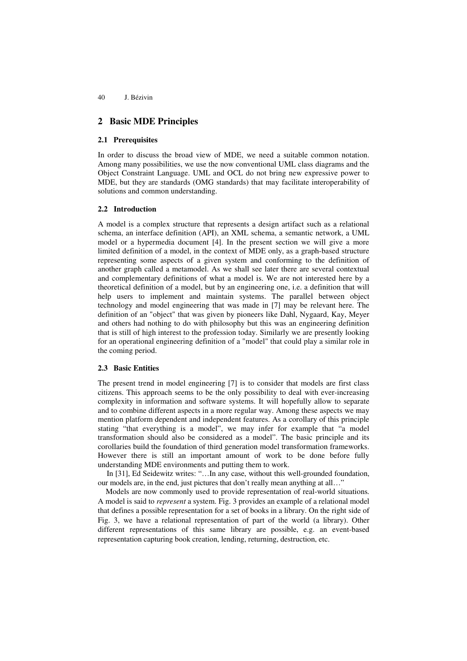## **2 Basic MDE Principles**

#### **2.1 Prerequisites**

In order to discuss the broad view of MDE, we need a suitable common notation. Among many possibilities, we use the now conventional UML class diagrams and the Object Constraint Language. UML and OCL do not bring new expressive power to MDE, but they are standards (OMG standards) that may facilitate interoperability of solutions and common understanding.

#### **2.2 Introduction**

A model is a complex structure that represents a design artifact such as a relational schema, an interface definition (API), an XML schema, a semantic network, a UML model or a hypermedia document [4]. In the present section we will give a more limited definition of a model, in the context of MDE only, as a graph-based structure representing some aspects of a given system and conforming to the definition of another graph called a metamodel. As we shall see later there are several contextual and complementary definitions of what a model is. We are not interested here by a theoretical definition of a model, but by an engineering one, i.e. a definition that will help users to implement and maintain systems. The parallel between object technology and model engineering that was made in [7] may be relevant here. The definition of an "object" that was given by pioneers like Dahl, Nygaard, Kay, Meyer and others had nothing to do with philosophy but this was an engineering definition that is still of high interest to the profession today. Similarly we are presently looking for an operational engineering definition of a "model" that could play a similar role in the coming period.

## **2.3 Basic Entities**

The present trend in model engineering [7] is to consider that models are first class citizens. This approach seems to be the only possibility to deal with ever-increasing complexity in information and software systems. It will hopefully allow to separate and to combine different aspects in a more regular way. Among these aspects we may mention platform dependent and independent features. As a corollary of this principle stating "that everything is a model", we may infer for example that "a model transformation should also be considered as a model". The basic principle and its corollaries build the foundation of third generation model transformation frameworks. However there is still an important amount of work to be done before fully understanding MDE environments and putting them to work.

In [31], Ed Seidewitz writes: "…In any case, without this well-grounded foundation, our models are, in the end, just pictures that don't really mean anything at all…"

Models are now commonly used to provide representation of real-world situations. A model is said to *represent* a system. Fig. 3 provides an example of a relational model that defines a possible representation for a set of books in a library. On the right side of Fig. 3, we have a relational representation of part of the world (a library). Other different representations of this same library are possible, e.g. an event-based representation capturing book creation, lending, returning, destruction, etc.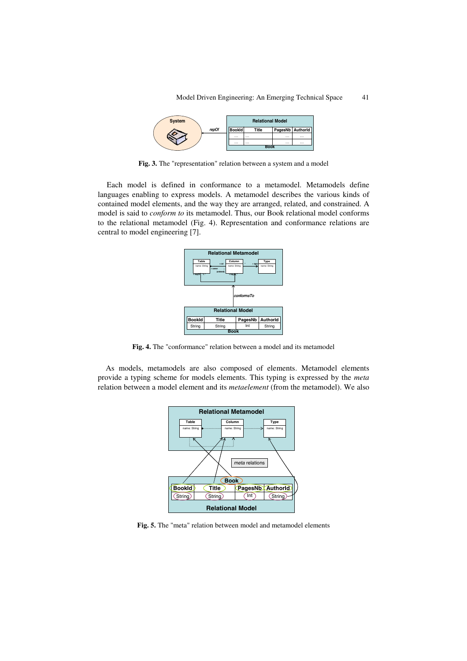

Fig. 3. The "representation" relation between a system and a model

Each model is defined in conformance to a metamodel. Metamodels define languages enabling to express models. A metamodel describes the various kinds of contained model elements, and the way they are arranged, related, and constrained. A model is said to *conform to* its metamodel. Thus, our Book relational model conforms to the relational metamodel (Fig. 4). Representation and conformance relations are central to model engineering [7].



**Fig. 4.** The "conformance" relation between a model and its metamodel

As models, metamodels are also composed of elements. Metamodel elements provide a typing scheme for models elements. This typing is expressed by the *meta* relation between a model element and its *metaelement* (from the metamodel). We also



**Fig. 5.** The "meta" relation between model and metamodel elements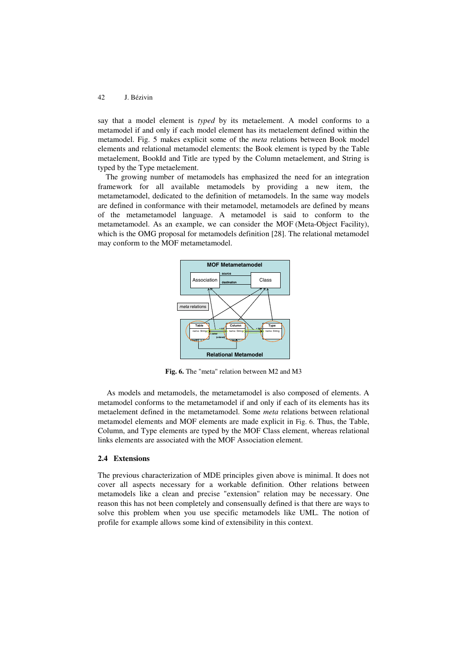say that a model element is *typed* by its metaelement. A model conforms to a metamodel if and only if each model element has its metaelement defined within the metamodel. Fig. 5 makes explicit some of the *meta* relations between Book model elements and relational metamodel elements: the Book element is typed by the Table metaelement, BookId and Title are typed by the Column metaelement, and String is typed by the Type metaelement.

The growing number of metamodels has emphasized the need for an integration framework for all available metamodels by providing a new item, the metametamodel, dedicated to the definition of metamodels. In the same way models are defined in conformance with their metamodel, metamodels are defined by means of the metametamodel language. A metamodel is said to conform to the metametamodel. As an example, we can consider the MOF (Meta-Object Facility), which is the OMG proposal for metamodels definition [28]. The relational metamodel may conform to the MOF metametamodel.



**Fig. 6.** The "meta" relation between M2 and M3

As models and metamodels, the metametamodel is also composed of elements. A metamodel conforms to the metametamodel if and only if each of its elements has its metaelement defined in the metametamodel. Some *meta* relations between relational metamodel elements and MOF elements are made explicit in Fig. 6. Thus, the Table, Column, and Type elements are typed by the MOF Class element, whereas relational links elements are associated with the MOF Association element.

## **2.4 Extensions**

The previous characterization of MDE principles given above is minimal. It does not cover all aspects necessary for a workable definition. Other relations between metamodels like a clean and precise "extension" relation may be necessary. One reason this has not been completely and consensually defined is that there are ways to solve this problem when you use specific metamodels like UML. The notion of profile for example allows some kind of extensibility in this context.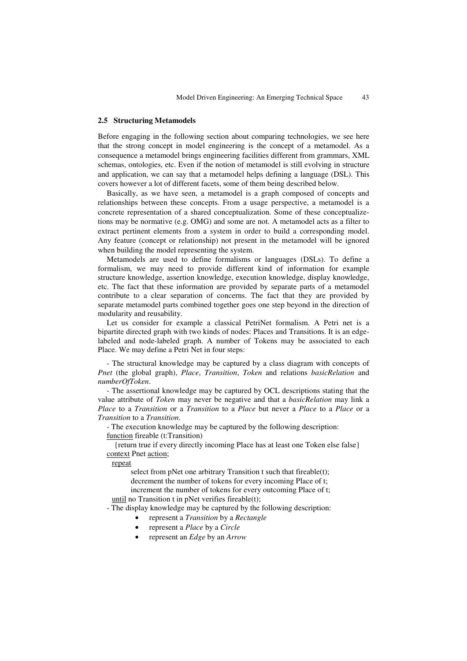#### **2.5 Structuring Metamodels**

Before engaging in the following section about comparing technologies, we see here that the strong concept in model engineering is the concept of a metamodel. As a consequence a metamodel brings engineering facilities different from grammars, XML schemas, ontologies, etc. Even if the notion of metamodel is still evolving in structure and application, we can say that a metamodel helps defining a language (DSL). This covers however a lot of different facets, some of them being described below.

Basically, as we have seen, a metamodel is a graph composed of concepts and relationships between these concepts. From a usage perspective, a metamodel is a concrete representation of a shared conceptualization. Some of these conceptualizetions may be normative (e.g. OMG) and some are not. A metamodel acts as a filter to extract pertinent elements from a system in order to build a corresponding model. Any feature (concept or relationship) not present in the metamodel will be ignored when building the model representing the system.

Metamodels are used to define formalisms or languages (DSLs). To define a formalism, we may need to provide different kind of information for example structure knowledge, assertion knowledge, execution knowledge, display knowledge, etc. The fact that these information are provided by separate parts of a metamodel contribute to a clear separation of concerns. The fact that they are provided by separate metamodel parts combined together goes one step beyond in the direction of modularity and reusability.

Let us consider for example a classical PetriNet formalism. A Petri net is a bipartite directed graph with two kinds of nodes: Places and Transitions. It is an edgelabeled and node-labeled graph. A number of Tokens may be associated to each Place. We may define a Petri Net in four steps:

- The structural knowledge may be captured by a class diagram with concepts of *Pnet* (the global graph), *Place*, *Transition*, *Token* and relations *basicRelation* and *numberOfToken*.

- The assertional knowledge may be captured by OCL descriptions stating that the value attribute of *Token* may never be negative and that a *basicRelation* may link a *Place* to a *Transition* or a *Transition* to a *Place* but never a *Place* to a *Place* or a *Transition* to a *Transition*.

- The execution knowledge may be captured by the following description:

function fireable (t:Transition)

{return true if every directly incoming Place has at least one Token else false} context Pnet action;

repeat

select from pNet one arbitrary Transition t such that fireable(t); decrement the number of tokens for every incoming Place of t; increment the number of tokens for every outcoming Place of t;

until no Transition t in pNet verifies fireable(t); - The display knowledge may be captured by the following description:

- represent a *Transition* by a *Rectangle*
	- represent a *Place* by a *Circle*
- represent an *Edge* by an *Arrow*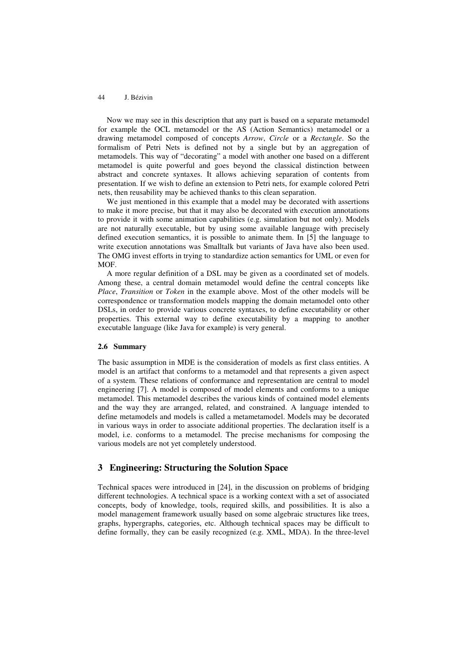Now we may see in this description that any part is based on a separate metamodel for example the OCL metamodel or the AS (Action Semantics) metamodel or a drawing metamodel composed of concepts *Arrow*, *Circle* or a *Rectangle*. So the formalism of Petri Nets is defined not by a single but by an aggregation of metamodels. This way of "decorating" a model with another one based on a different metamodel is quite powerful and goes beyond the classical distinction between abstract and concrete syntaxes. It allows achieving separation of contents from presentation. If we wish to define an extension to Petri nets, for example colored Petri nets, then reusability may be achieved thanks to this clean separation.

We just mentioned in this example that a model may be decorated with assertions to make it more precise, but that it may also be decorated with execution annotations to provide it with some animation capabilities (e.g. simulation but not only). Models are not naturally executable, but by using some available language with precisely defined execution semantics, it is possible to animate them. In [5] the language to write execution annotations was Smalltalk but variants of Java have also been used. The OMG invest efforts in trying to standardize action semantics for UML or even for  $MOF$ 

A more regular definition of a DSL may be given as a coordinated set of models. Among these, a central domain metamodel would define the central concepts like *Place*, *Transition* or *Token* in the example above. Most of the other models will be correspondence or transformation models mapping the domain metamodel onto other DSLs, in order to provide various concrete syntaxes, to define executability or other properties. This external way to define executability by a mapping to another executable language (like Java for example) is very general.

#### **2.6 Summary**

The basic assumption in MDE is the consideration of models as first class entities. A model is an artifact that conforms to a metamodel and that represents a given aspect of a system. These relations of conformance and representation are central to model engineering [7]. A model is composed of model elements and conforms to a unique metamodel. This metamodel describes the various kinds of contained model elements and the way they are arranged, related, and constrained. A language intended to define metamodels and models is called a metametamodel. Models may be decorated in various ways in order to associate additional properties. The declaration itself is a model, i.e. conforms to a metamodel. The precise mechanisms for composing the various models are not yet completely understood.

## **3 Engineering: Structuring the Solution Space**

Technical spaces were introduced in [24], in the discussion on problems of bridging different technologies. A technical space is a working context with a set of associated concepts, body of knowledge, tools, required skills, and possibilities. It is also a model management framework usually based on some algebraic structures like trees, graphs, hypergraphs, categories, etc. Although technical spaces may be difficult to define formally, they can be easily recognized (e.g. XML, MDA). In the three-level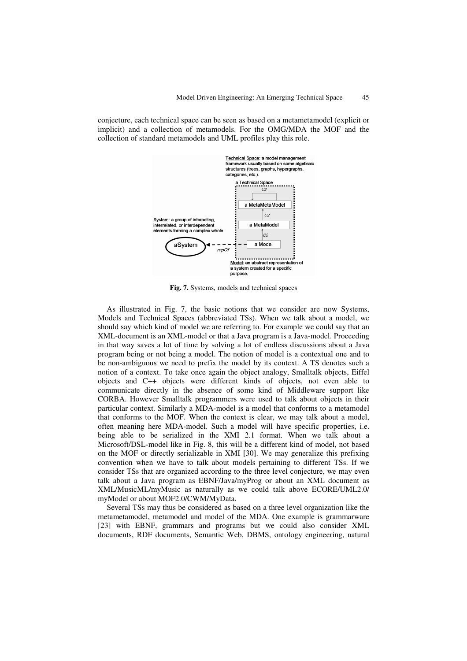conjecture, each technical space can be seen as based on a metametamodel (explicit or implicit) and a collection of metamodels. For the OMG/MDA the MOF and the collection of standard metamodels and UML profiles play this role.



**Fig. 7.** Systems, models and technical spaces

As illustrated in Fig. 7, the basic notions that we consider are now Systems, Models and Technical Spaces (abbreviated TSs). When we talk about a model, we should say which kind of model we are referring to. For example we could say that an XML-document is an XML-model or that a Java program is a Java-model. Proceeding in that way saves a lot of time by solving a lot of endless discussions about a Java program being or not being a model. The notion of model is a contextual one and to be non-ambiguous we need to prefix the model by its context. A TS denotes such a notion of a context. To take once again the object analogy, Smalltalk objects, Eiffel objects and C++ objects were different kinds of objects, not even able to communicate directly in the absence of some kind of Middleware support like CORBA. However Smalltalk programmers were used to talk about objects in their particular context. Similarly a MDA-model is a model that conforms to a metamodel that conforms to the MOF. When the context is clear, we may talk about a model, often meaning here MDA-model. Such a model will have specific properties, i.e. being able to be serialized in the XMI 2.1 format. When we talk about a Microsoft/DSL-model like in Fig. 8, this will be a different kind of model, not based on the MOF or directly serializable in XMI [30]. We may generalize this prefixing convention when we have to talk about models pertaining to different TSs. If we consider TSs that are organized according to the three level conjecture, we may even talk about a Java program as EBNF/Java/myProg or about an XML document as XML/MusicML/myMusic as naturally as we could talk above ECORE/UML2.0/ myModel or about MOF2.0/CWM/MyData.

Several TSs may thus be considered as based on a three level organization like the metametamodel, metamodel and model of the MDA. One example is grammarware [23] with EBNF, grammars and programs but we could also consider XML documents, RDF documents, Semantic Web, DBMS, ontology engineering, natural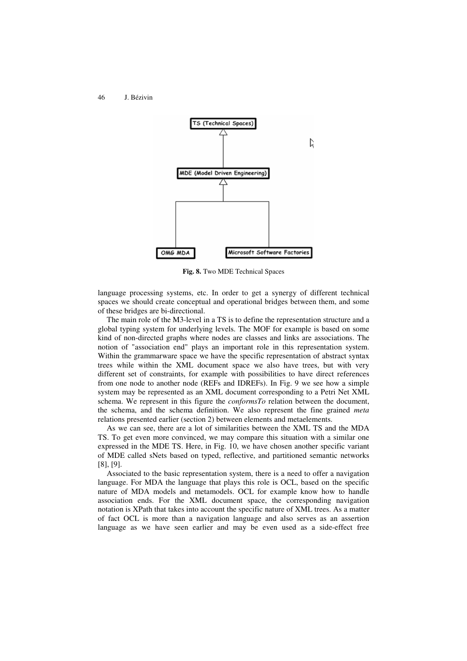

**Fig. 8.** Two MDE Technical Spaces

language processing systems, etc. In order to get a synergy of different technical spaces we should create conceptual and operational bridges between them, and some of these bridges are bi-directional.

The main role of the M3-level in a TS is to define the representation structure and a global typing system for underlying levels. The MOF for example is based on some kind of non-directed graphs where nodes are classes and links are associations. The notion of "association end" plays an important role in this representation system. Within the grammarware space we have the specific representation of abstract syntax trees while within the XML document space we also have trees, but with very different set of constraints, for example with possibilities to have direct references from one node to another node (REFs and IDREFs). In Fig. 9 we see how a simple system may be represented as an XML document corresponding to a Petri Net XML schema. We represent in this figure the *conformsTo* relation between the document, the schema, and the schema definition. We also represent the fine grained *meta* relations presented earlier (section 2) between elements and metaelements.

As we can see, there are a lot of similarities between the XML TS and the MDA TS. To get even more convinced, we may compare this situation with a similar one expressed in the MDE TS. Here, in Fig. 10, we have chosen another specific variant of MDE called sNets based on typed, reflective, and partitioned semantic networks [8], [9].

Associated to the basic representation system, there is a need to offer a navigation language. For MDA the language that plays this role is OCL, based on the specific nature of MDA models and metamodels. OCL for example know how to handle association ends. For the XML document space, the corresponding navigation notation is XPath that takes into account the specific nature of XML trees. As a matter of fact OCL is more than a navigation language and also serves as an assertion language as we have seen earlier and may be even used as a side-effect free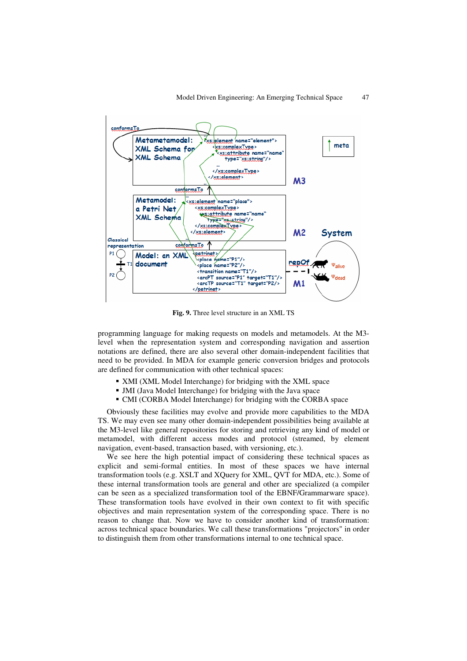

**Fig. 9.** Three level structure in an XML TS

programming language for making requests on models and metamodels. At the M3 level when the representation system and corresponding navigation and assertion notations are defined, there are also several other domain-independent facilities that need to be provided. In MDA for example generic conversion bridges and protocols are defined for communication with other technical spaces:

- XMI (XML Model Interchange) for bridging with the XML space
- JMI (Java Model Interchange) for bridging with the Java space
- CMI (CORBA Model Interchange) for bridging with the CORBA space

Obviously these facilities may evolve and provide more capabilities to the MDA TS. We may even see many other domain-independent possibilities being available at the M3-level like general repositories for storing and retrieving any kind of model or metamodel, with different access modes and protocol (streamed, by element navigation, event-based, transaction based, with versioning, etc.).

We see here the high potential impact of considering these technical spaces as explicit and semi-formal entities. In most of these spaces we have internal transformation tools (e.g. XSLT and XQuery for XML, QVT for MDA, etc.). Some of these internal transformation tools are general and other are specialized (a compiler can be seen as a specialized transformation tool of the EBNF/Grammarware space). These transformation tools have evolved in their own context to fit with specific objectives and main representation system of the corresponding space. There is no reason to change that. Now we have to consider another kind of transformation: across technical space boundaries. We call these transformations "projectors" in order to distinguish them from other transformations internal to one technical space.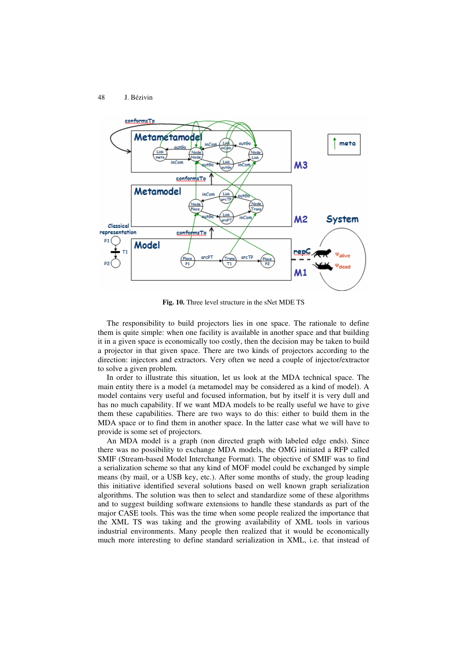

**Fig. 10.** Three level structure in the sNet MDE TS

The responsibility to build projectors lies in one space. The rationale to define them is quite simple: when one facility is available in another space and that building it in a given space is economically too costly, then the decision may be taken to build a projector in that given space. There are two kinds of projectors according to the direction: injectors and extractors. Very often we need a couple of injector/extractor to solve a given problem.

In order to illustrate this situation, let us look at the MDA technical space. The main entity there is a model (a metamodel may be considered as a kind of model). A model contains very useful and focused information, but by itself it is very dull and has no much capability. If we want MDA models to be really useful we have to give them these capabilities. There are two ways to do this: either to build them in the MDA space or to find them in another space. In the latter case what we will have to provide is some set of projectors.

An MDA model is a graph (non directed graph with labeled edge ends). Since there was no possibility to exchange MDA models, the OMG initiated a RFP called SMIF (Stream-based Model Interchange Format). The objective of SMIF was to find a serialization scheme so that any kind of MOF model could be exchanged by simple means (by mail, or a USB key, etc.). After some months of study, the group leading this initiative identified several solutions based on well known graph serialization algorithms. The solution was then to select and standardize some of these algorithms and to suggest building software extensions to handle these standards as part of the major CASE tools. This was the time when some people realized the importance that the XML TS was taking and the growing availability of XML tools in various industrial environments. Many people then realized that it would be economically much more interesting to define standard serialization in XML, i.e. that instead of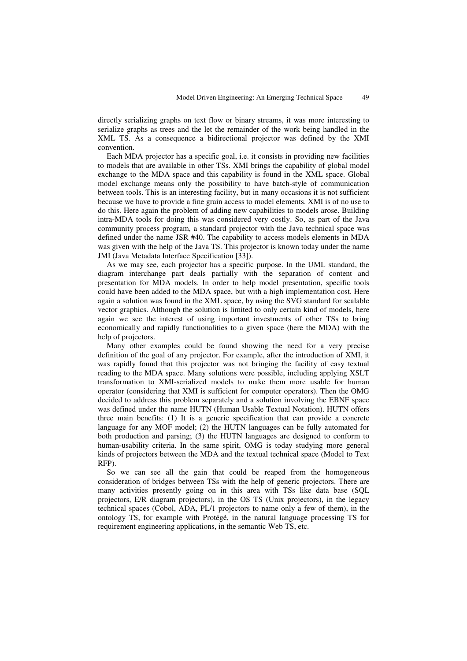directly serializing graphs on text flow or binary streams, it was more interesting to serialize graphs as trees and the let the remainder of the work being handled in the XML TS. As a consequence a bidirectional projector was defined by the XMI convention.

Each MDA projector has a specific goal, i.e. it consists in providing new facilities to models that are available in other TSs. XMI brings the capability of global model exchange to the MDA space and this capability is found in the XML space. Global model exchange means only the possibility to have batch-style of communication between tools. This is an interesting facility, but in many occasions it is not sufficient because we have to provide a fine grain access to model elements. XMI is of no use to do this. Here again the problem of adding new capabilities to models arose. Building intra-MDA tools for doing this was considered very costly. So, as part of the Java community process program, a standard projector with the Java technical space was defined under the name JSR #40. The capability to access models elements in MDA was given with the help of the Java TS. This projector is known today under the name JMI (Java Metadata Interface Specification [33]).

As we may see, each projector has a specific purpose. In the UML standard, the diagram interchange part deals partially with the separation of content and presentation for MDA models. In order to help model presentation, specific tools could have been added to the MDA space, but with a high implementation cost. Here again a solution was found in the XML space, by using the SVG standard for scalable vector graphics. Although the solution is limited to only certain kind of models, here again we see the interest of using important investments of other TSs to bring economically and rapidly functionalities to a given space (here the MDA) with the help of projectors.

Many other examples could be found showing the need for a very precise definition of the goal of any projector. For example, after the introduction of XMI, it was rapidly found that this projector was not bringing the facility of easy textual reading to the MDA space. Many solutions were possible, including applying XSLT transformation to XMI-serialized models to make them more usable for human operator (considering that XMI is sufficient for computer operators). Then the OMG decided to address this problem separately and a solution involving the EBNF space was defined under the name HUTN (Human Usable Textual Notation). HUTN offers three main benefits: (1) It is a generic specification that can provide a concrete language for any MOF model; (2) the HUTN languages can be fully automated for both production and parsing; (3) the HUTN languages are designed to conform to human-usability criteria. In the same spirit, OMG is today studying more general kinds of projectors between the MDA and the textual technical space (Model to Text RFP).

So we can see all the gain that could be reaped from the homogeneous consideration of bridges between TSs with the help of generic projectors. There are many activities presently going on in this area with TSs like data base (SQL projectors, E/R diagram projectors), in the OS TS (Unix projectors), in the legacy technical spaces (Cobol, ADA, PL/1 projectors to name only a few of them), in the ontology TS, for example with Protégé, in the natural language processing TS for requirement engineering applications, in the semantic Web TS, etc.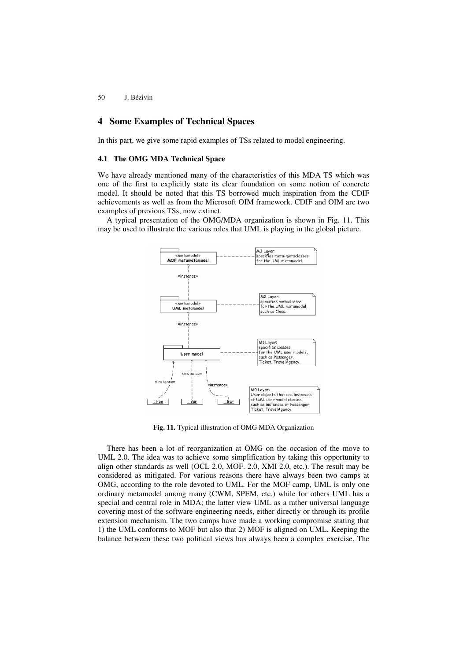## **4 Some Examples of Technical Spaces**

In this part, we give some rapid examples of TSs related to model engineering.

### **4.1 The OMG MDA Technical Space**

We have already mentioned many of the characteristics of this MDA TS which was one of the first to explicitly state its clear foundation on some notion of concrete model. It should be noted that this TS borrowed much inspiration from the CDIF achievements as well as from the Microsoft OIM framework. CDIF and OIM are two examples of previous TSs, now extinct.

A typical presentation of the OMG/MDA organization is shown in Fig. 11. This may be used to illustrate the various roles that UML is playing in the global picture.



**Fig. 11.** Typical illustration of OMG MDA Organization

There has been a lot of reorganization at OMG on the occasion of the move to UML 2.0. The idea was to achieve some simplification by taking this opportunity to align other standards as well (OCL 2.0, MOF. 2.0, XMI 2.0, etc.). The result may be considered as mitigated. For various reasons there have always been two camps at OMG, according to the role devoted to UML. For the MOF camp, UML is only one ordinary metamodel among many (CWM, SPEM, etc.) while for others UML has a special and central role in MDA; the latter view UML as a rather universal language covering most of the software engineering needs, either directly or through its profile extension mechanism. The two camps have made a working compromise stating that 1) the UML conforms to MOF but also that 2) MOF is aligned on UML. Keeping the balance between these two political views has always been a complex exercise. The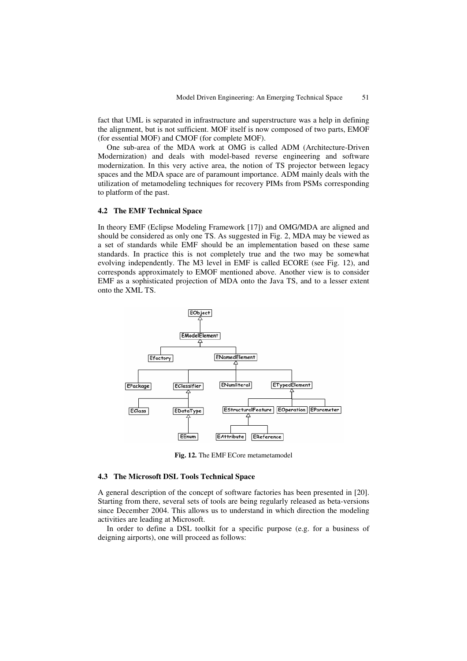fact that UML is separated in infrastructure and superstructure was a help in defining the alignment, but is not sufficient. MOF itself is now composed of two parts, EMOF (for essential MOF) and CMOF (for complete MOF).

One sub-area of the MDA work at OMG is called ADM (Architecture-Driven Modernization) and deals with model-based reverse engineering and software modernization. In this very active area, the notion of TS projector between legacy spaces and the MDA space are of paramount importance. ADM mainly deals with the utilization of metamodeling techniques for recovery PIMs from PSMs corresponding to platform of the past.

#### **4.2 The EMF Technical Space**

In theory EMF (Eclipse Modeling Framework [17]) and OMG/MDA are aligned and should be considered as only one TS. As suggested in Fig. 2, MDA may be viewed as a set of standards while EMF should be an implementation based on these same standards. In practice this is not completely true and the two may be somewhat evolving independently. The M3 level in EMF is called ECORE (see Fig. 12), and corresponds approximately to EMOF mentioned above. Another view is to consider EMF as a sophisticated projection of MDA onto the Java TS, and to a lesser extent onto the XML TS.



**Fig. 12.** The EMF ECore metametamodel

### **4.3 The Microsoft DSL Tools Technical Space**

A general description of the concept of software factories has been presented in [20]. Starting from there, several sets of tools are being regularly released as beta-versions since December 2004. This allows us to understand in which direction the modeling activities are leading at Microsoft.

In order to define a DSL toolkit for a specific purpose (e.g. for a business of deigning airports), one will proceed as follows: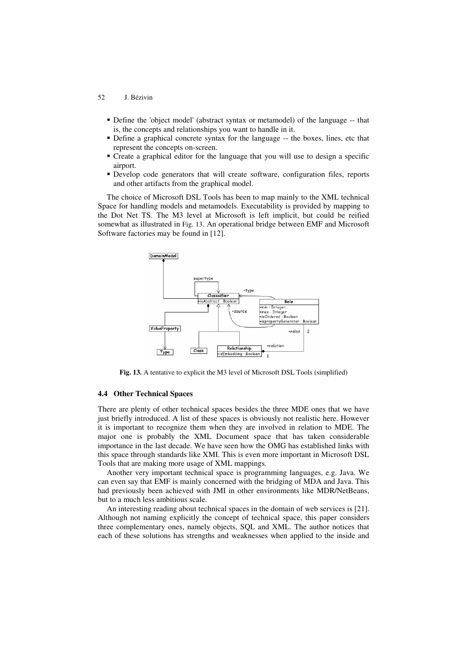- Define the 'object model' (abstract syntax or metamodel) of the language -- that is, the concepts and relationships you want to handle in it.
- Define a graphical concrete syntax for the language -- the boxes, lines, etc that represent the concepts on-screen.
- Create a graphical editor for the language that you will use to design a specific airport.
- Develop code generators that will create software, configuration files, reports and other artifacts from the graphical model.

The choice of Microsoft DSL Tools has been to map mainly to the XML technical Space for handling models and metamodels. Executability is provided by mapping to the Dot Net TS. The M3 level at Microsoft is left implicit, but could be reified somewhat as illustrated in Fig. 13. An operational bridge between EMF and Microsoft Software factories may be found in [12].



**Fig. 13.** A tentative to explicit the M3 level of Microsoft DSL Tools (simplified)

#### **4.4 Other Technical Spaces**

There are plenty of other technical spaces besides the three MDE ones that we have just briefly introduced. A list of these spaces is obviously not realistic here. However it is important to recognize them when they are involved in relation to MDE. The major one is probably the XML Document space that has taken considerable importance in the last decade. We have seen how the OMG has established links with this space through standards like XMI. This is even more important in Microsoft DSL Tools that are making more usage of XML mappings.

Another very important technical space is programming languages, e.g. Java. We can even say that EMF is mainly concerned with the bridging of MDA and Java. This had previously been achieved with JMI in other environments like MDR/NetBeans, but to a much less ambitious scale.

An interesting reading about technical spaces in the domain of web services is [21]. Although not naming explicitly the concept of technical space, this paper considers three complementary ones, namely objects, SQL and XML. The author notices that each of these solutions has strengths and weaknesses when applied to the inside and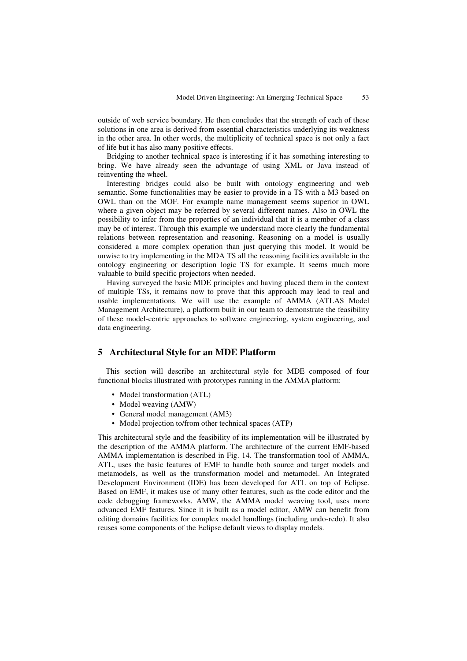outside of web service boundary. He then concludes that the strength of each of these solutions in one area is derived from essential characteristics underlying its weakness in the other area. In other words, the multiplicity of technical space is not only a fact of life but it has also many positive effects.

Bridging to another technical space is interesting if it has something interesting to bring. We have already seen the advantage of using XML or Java instead of reinventing the wheel.

Interesting bridges could also be built with ontology engineering and web semantic. Some functionalities may be easier to provide in a TS with a M3 based on OWL than on the MOF. For example name management seems superior in OWL where a given object may be referred by several different names. Also in OWL the possibility to infer from the properties of an individual that it is a member of a class may be of interest. Through this example we understand more clearly the fundamental relations between representation and reasoning. Reasoning on a model is usually considered a more complex operation than just querying this model. It would be unwise to try implementing in the MDA TS all the reasoning facilities available in the ontology engineering or description logic TS for example. It seems much more valuable to build specific projectors when needed.

Having surveyed the basic MDE principles and having placed them in the context of multiple TSs, it remains now to prove that this approach may lead to real and usable implementations. We will use the example of AMMA (ATLAS Model Management Architecture), a platform built in our team to demonstrate the feasibility of these model-centric approaches to software engineering, system engineering, and data engineering.

## **5 Architectural Style for an MDE Platform**

This section will describe an architectural style for MDE composed of four functional blocks illustrated with prototypes running in the AMMA platform:

- Model transformation (ATL)
- Model weaving (AMW)
- General model management (AM3)
- Model projection to/from other technical spaces (ATP)

This architectural style and the feasibility of its implementation will be illustrated by the description of the AMMA platform. The architecture of the current EMF-based AMMA implementation is described in Fig. 14. The transformation tool of AMMA, ATL, uses the basic features of EMF to handle both source and target models and metamodels, as well as the transformation model and metamodel. An Integrated Development Environment (IDE) has been developed for ATL on top of Eclipse. Based on EMF, it makes use of many other features, such as the code editor and the code debugging frameworks. AMW, the AMMA model weaving tool, uses more advanced EMF features. Since it is built as a model editor, AMW can benefit from editing domains facilities for complex model handlings (including undo-redo). It also reuses some components of the Eclipse default views to display models.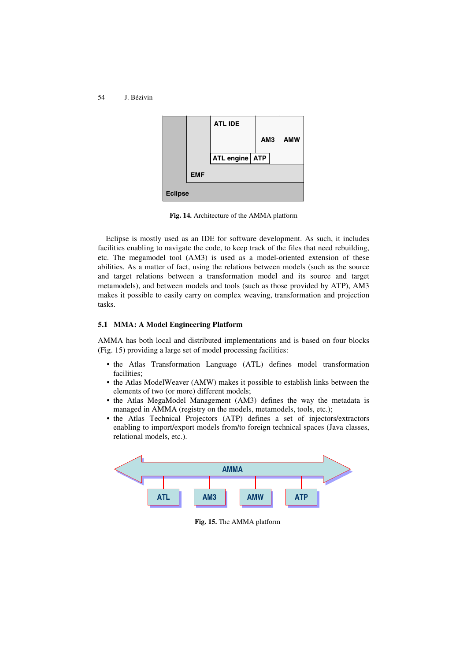

**Fig. 14.** Architecture of the AMMA platform

Eclipse is mostly used as an IDE for software development. As such, it includes facilities enabling to navigate the code, to keep track of the files that need rebuilding, etc. The megamodel tool (AM3) is used as a model-oriented extension of these abilities. As a matter of fact, using the relations between models (such as the source and target relations between a transformation model and its source and target metamodels), and between models and tools (such as those provided by ATP), AM3 makes it possible to easily carry on complex weaving, transformation and projection tasks.

### **5.1 MMA: A Model Engineering Platform**

AMMA has both local and distributed implementations and is based on four blocks (Fig. 15) providing a large set of model processing facilities:

- the Atlas Transformation Language (ATL) defines model transformation facilities;
- the Atlas ModelWeaver (AMW) makes it possible to establish links between the elements of two (or more) different models;
- the Atlas MegaModel Management (AM3) defines the way the metadata is managed in AMMA (registry on the models, metamodels, tools, etc.);
- the Atlas Technical Projectors (ATP) defines a set of injectors/extractors enabling to import/export models from/to foreign technical spaces (Java classes, relational models, etc.).



**Fig. 15.** The AMMA platform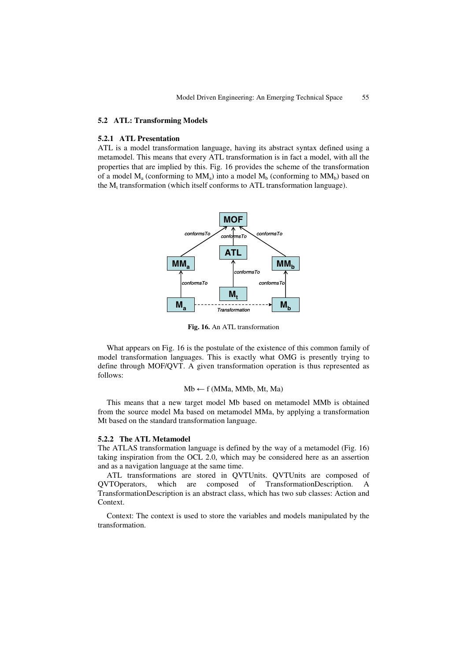#### **5.2 ATL: Transforming Models**

#### **5.2.1 ATL Presentation**

ATL is a model transformation language, having its abstract syntax defined using a metamodel. This means that every ATL transformation is in fact a model, with all the properties that are implied by this. Fig. 16 provides the scheme of the transformation of a model  $M_a$  (conforming to  $MM_a$ ) into a model  $M_b$  (conforming to  $MM_b$ ) based on the  $M_t$  transformation (which itself conforms to ATL transformation language).



**Fig. 16.** An ATL transformation

What appears on Fig. 16 is the postulate of the existence of this common family of model transformation languages. This is exactly what OMG is presently trying to define through MOF/QVT. A given transformation operation is thus represented as follows:

#### $Mb \leftarrow f(MMa, MMb, Mt, Ma)$

This means that a new target model Mb based on metamodel MMb is obtained from the source model Ma based on metamodel MMa, by applying a transformation Mt based on the standard transformation language.

#### **5.2.2 The ATL Metamodel**

The ATLAS transformation language is defined by the way of a metamodel (Fig. 16) taking inspiration from the OCL 2.0, which may be considered here as an assertion and as a navigation language at the same time.

ATL transformations are stored in QVTUnits. QVTUnits are composed of QVTOperators, which are composed of TransformationDescription. A TransformationDescription is an abstract class, which has two sub classes: Action and Context.

Context: The context is used to store the variables and models manipulated by the transformation.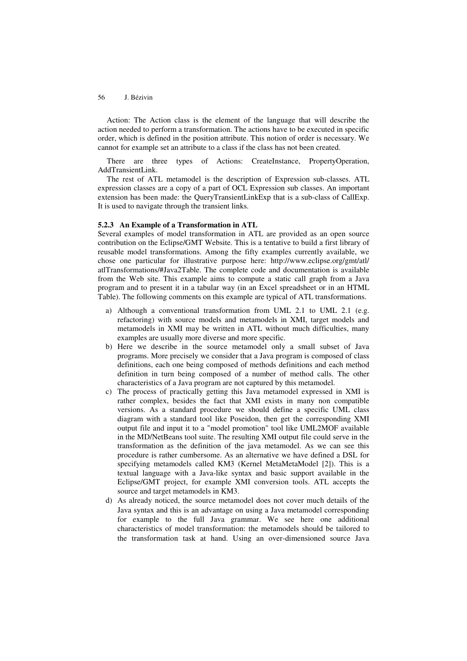Action: The Action class is the element of the language that will describe the action needed to perform a transformation. The actions have to be executed in specific order, which is defined in the position attribute. This notion of order is necessary. We cannot for example set an attribute to a class if the class has not been created.

There are three types of Actions: CreateInstance, PropertyOperation, AddTransientLink.

The rest of ATL metamodel is the description of Expression sub-classes. ATL expression classes are a copy of a part of OCL Expression sub classes. An important extension has been made: the QueryTransientLinkExp that is a sub-class of CallExp. It is used to navigate through the transient links.

#### **5.2.3 An Example of a Transformation in ATL**

Several examples of model transformation in ATL are provided as an open source contribution on the Eclipse/GMT Website. This is a tentative to build a first library of reusable model transformations. Among the fifty examples currently available, we chose one particular for illustrative purpose here: http://www.eclipse.org/gmt/atl/ atlTransformations/#Java2Table. The complete code and documentation is available from the Web site. This example aims to compute a static call graph from a Java program and to present it in a tabular way (in an Excel spreadsheet or in an HTML Table). The following comments on this example are typical of ATL transformations.

- a) Although a conventional transformation from UML 2.1 to UML 2.1 (e.g. refactoring) with source models and metamodels in XMI, target models and metamodels in XMI may be written in ATL without much difficulties, many examples are usually more diverse and more specific.
- b) Here we describe in the source metamodel only a small subset of Java programs. More precisely we consider that a Java program is composed of class definitions, each one being composed of methods definitions and each method definition in turn being composed of a number of method calls. The other characteristics of a Java program are not captured by this metamodel.
- c) The process of practically getting this Java metamodel expressed in XMI is rather complex, besides the fact that XMI exists in many non compatible versions. As a standard procedure we should define a specific UML class diagram with a standard tool like Poseidon, then get the corresponding XMI output file and input it to a "model promotion" tool like UML2MOF available in the MD/NetBeans tool suite. The resulting XMI output file could serve in the transformation as the definition of the java metamodel. As we can see this procedure is rather cumbersome. As an alternative we have defined a DSL for specifying metamodels called KM3 (Kernel MetaMetaModel [2]). This is a textual language with a Java-like syntax and basic support available in the Eclipse/GMT project, for example XMI conversion tools. ATL accepts the source and target metamodels in KM3.
- d) As already noticed, the source metamodel does not cover much details of the Java syntax and this is an advantage on using a Java metamodel corresponding for example to the full Java grammar. We see here one additional characteristics of model transformation: the metamodels should be tailored to the transformation task at hand. Using an over-dimensioned source Java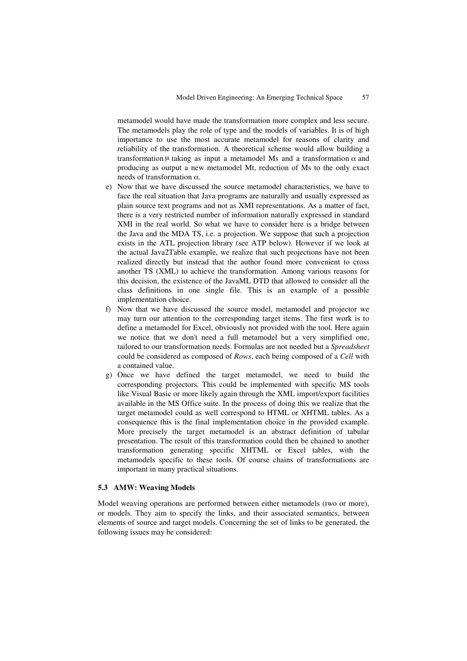metamodel would have made the transformation more complex and less secure. The metamodels play the role of type and the models of variables. It is of high importance to use the most accurate metamodel for reasons of clarity and reliability of the transformation. A theoretical scheme would allow building a transformation  $μ$  taking as input a metamodel Ms and a transformation  $α$  and producing as output a new metamodel Mt, reduction of Ms to the only exact needs of transformation  $\alpha$ .

- e) Now that we have discussed the source metamodel characteristics, we have to face the real situation that Java programs are naturally and usually expressed as plain source text programs and not as XMI representations. As a matter of fact, there is a very restricted number of information naturally expressed in standard XMI in the real world. So what we have to consider here is a bridge between the Java and the MDA TS, i.e. a projection. We suppose that such a projection exists in the ATL projection library (see ATP below). However if we look at the actual Java2Table example, we realize that such projections have not been realized directly but instead that the author found more convenient to cross another TS (XML) to achieve the transformation. Among various reasons for this decision, the existence of the JavaML DTD that allowed to consider all the class definitions in one single file. This is an example of a possible implementation choice.
- f) Now that we have discussed the source model, metamodel and projector we may turn our attention to the corresponding target items. The first work is to define a metamodel for Excel, obviously not provided with the tool. Here again we notice that we don't need a full metamodel but a very simplified one, tailored to our transformation needs. Formulas are not needed but a *Spreadsheet* could be considered as composed of *Rows*, each being composed of a *Cell* with a contained value.
- g) Once we have defined the target metamodel, we need to build the corresponding projectors. This could be implemented with specific MS tools like Visual Basic or more likely again through the XML import/export facilities available in the MS Office suite. In the process of doing this we realize that the target metamodel could as well correspond to HTML or XHTML tables. As a consequence this is the final implementation choice in the provided example. More precisely the target metamodel is an abstract definition of tabular presentation. The result of this transformation could then be chained to another transformation generating specific XHTML or Excel tables, with the metamodels specific to these tools. Of course chains of transformations are important in many practical situations.

## **5.3 AMW: Weaving Models**

Model weaving operations are performed between either metamodels (two or more), or models. They aim to specify the links, and their associated semantics, between elements of source and target models. Concerning the set of links to be generated, the following issues may be considered: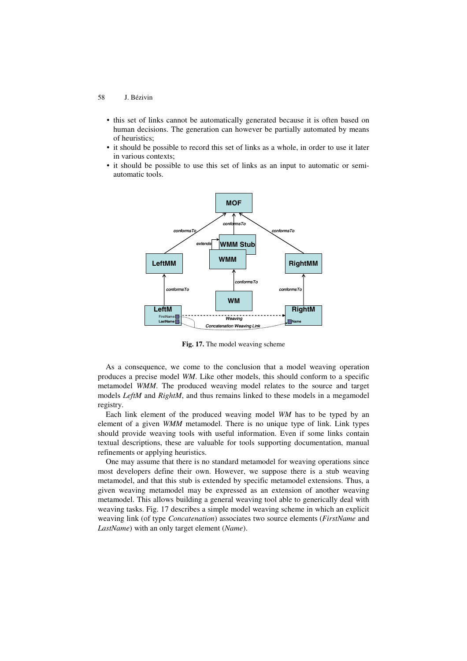- this set of links cannot be automatically generated because it is often based on human decisions. The generation can however be partially automated by means of heuristics;
- it should be possible to record this set of links as a whole, in order to use it later in various contexts;
- it should be possible to use this set of links as an input to automatic or semiautomatic tools.



**Fig. 17.** The model weaving scheme

As a consequence, we come to the conclusion that a model weaving operation produces a precise model *WM*. Like other models, this should conform to a specific metamodel *WMM*. The produced weaving model relates to the source and target models *LeftM* and *RightM*, and thus remains linked to these models in a megamodel registry.

Each link element of the produced weaving model *WM* has to be typed by an element of a given *WMM* metamodel. There is no unique type of link. Link types should provide weaving tools with useful information. Even if some links contain textual descriptions, these are valuable for tools supporting documentation, manual refinements or applying heuristics.

One may assume that there is no standard metamodel for weaving operations since most developers define their own. However, we suppose there is a stub weaving metamodel, and that this stub is extended by specific metamodel extensions. Thus, a given weaving metamodel may be expressed as an extension of another weaving metamodel. This allows building a general weaving tool able to generically deal with weaving tasks. Fig. 17 describes a simple model weaving scheme in which an explicit weaving link (of type *Concatenation*) associates two source elements (*FirstName* and *LastName*) with an only target element (*Name*).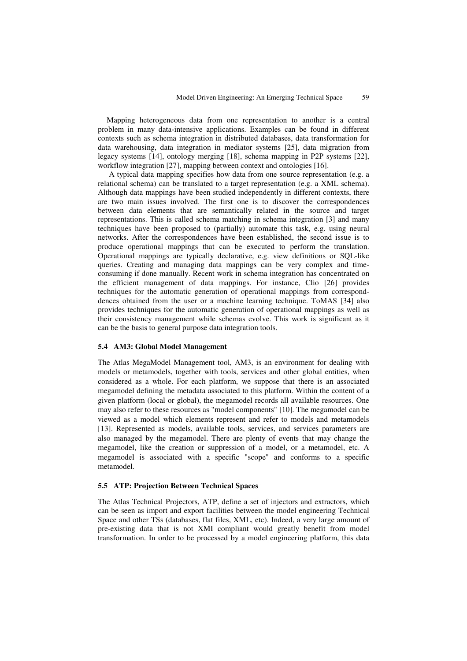Mapping heterogeneous data from one representation to another is a central problem in many data-intensive applications. Examples can be found in different contexts such as schema integration in distributed databases, data transformation for data warehousing, data integration in mediator systems [25], data migration from legacy systems [14], ontology merging [18], schema mapping in P2P systems [22], workflow integration [27], mapping between context and ontologies [16].

A typical data mapping specifies how data from one source representation (e.g. a relational schema) can be translated to a target representation (e.g. a XML schema). Although data mappings have been studied independently in different contexts, there are two main issues involved. The first one is to discover the correspondences between data elements that are semantically related in the source and target representations. This is called schema matching in schema integration [3] and many techniques have been proposed to (partially) automate this task, e.g. using neural networks. After the correspondences have been established, the second issue is to produce operational mappings that can be executed to perform the translation. Operational mappings are typically declarative, e.g. view definitions or SQL-like queries. Creating and managing data mappings can be very complex and timeconsuming if done manually. Recent work in schema integration has concentrated on the efficient management of data mappings. For instance, Clio [26] provides techniques for the automatic generation of operational mappings from corresponddences obtained from the user or a machine learning technique. ToMAS [34] also provides techniques for the automatic generation of operational mappings as well as their consistency management while schemas evolve. This work is significant as it can be the basis to general purpose data integration tools.

#### **5.4 AM3: Global Model Management**

The Atlas MegaModel Management tool, AM3, is an environment for dealing with models or metamodels, together with tools, services and other global entities, when considered as a whole. For each platform, we suppose that there is an associated megamodel defining the metadata associated to this platform. Within the content of a given platform (local or global), the megamodel records all available resources. One may also refer to these resources as "model components" [10]. The megamodel can be viewed as a model which elements represent and refer to models and metamodels [13]. Represented as models, available tools, services, and services parameters are also managed by the megamodel. There are plenty of events that may change the megamodel, like the creation or suppression of a model, or a metamodel, etc. A megamodel is associated with a specific "scope" and conforms to a specific metamodel.

#### **5.5 ATP: Projection Between Technical Spaces**

The Atlas Technical Projectors, ATP, define a set of injectors and extractors, which can be seen as import and export facilities between the model engineering Technical Space and other TSs (databases, flat files, XML, etc). Indeed, a very large amount of pre-existing data that is not XMI compliant would greatly benefit from model transformation. In order to be processed by a model engineering platform, this data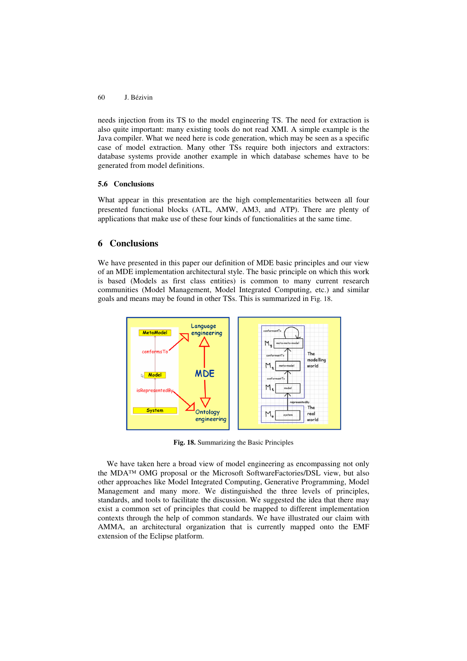needs injection from its TS to the model engineering TS. The need for extraction is also quite important: many existing tools do not read XMI. A simple example is the Java compiler. What we need here is code generation, which may be seen as a specific case of model extraction. Many other TSs require both injectors and extractors: database systems provide another example in which database schemes have to be generated from model definitions.

## **5.6 Conclusions**

What appear in this presentation are the high complementarities between all four presented functional blocks (ATL, AMW, AM3, and ATP). There are plenty of applications that make use of these four kinds of functionalities at the same time.

## **6 Conclusions**

We have presented in this paper our definition of MDE basic principles and our view of an MDE implementation architectural style. The basic principle on which this work is based (Models as first class entities) is common to many current research communities (Model Management, Model Integrated Computing, etc.) and similar goals and means may be found in other TSs. This is summarized in Fig. 18.



**Fig. 18.** Summarizing the Basic Principles

We have taken here a broad view of model engineering as encompassing not only the MDA™ OMG proposal or the Microsoft SoftwareFactories/DSL view, but also other approaches like Model Integrated Computing, Generative Programming, Model Management and many more. We distinguished the three levels of principles, standards, and tools to facilitate the discussion. We suggested the idea that there may exist a common set of principles that could be mapped to different implementation contexts through the help of common standards. We have illustrated our claim with AMMA, an architectural organization that is currently mapped onto the EMF extension of the Eclipse platform.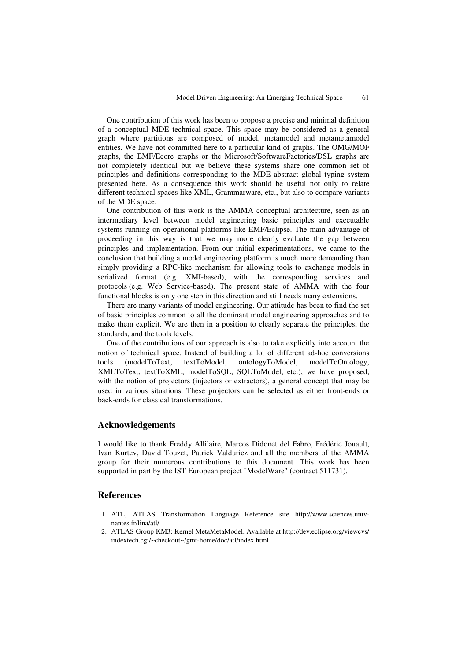One contribution of this work has been to propose a precise and minimal definition of a conceptual MDE technical space. This space may be considered as a general graph where partitions are composed of model, metamodel and metametamodel entities. We have not committed here to a particular kind of graphs. The OMG/MOF graphs, the EMF/Ecore graphs or the Microsoft/SoftwareFactories/DSL graphs are not completely identical but we believe these systems share one common set of principles and definitions corresponding to the MDE abstract global typing system presented here. As a consequence this work should be useful not only to relate different technical spaces like XML, Grammarware, etc., but also to compare variants of the MDE space.

One contribution of this work is the AMMA conceptual architecture, seen as an intermediary level between model engineering basic principles and executable systems running on operational platforms like EMF/Eclipse. The main advantage of proceeding in this way is that we may more clearly evaluate the gap between principles and implementation. From our initial experimentations, we came to the conclusion that building a model engineering platform is much more demanding than simply providing a RPC-like mechanism for allowing tools to exchange models in serialized format (e.g. XMI-based), with the corresponding services and protocols (e.g. Web Service-based). The present state of AMMA with the four functional blocks is only one step in this direction and still needs many extensions.

There are many variants of model engineering. Our attitude has been to find the set of basic principles common to all the dominant model engineering approaches and to make them explicit. We are then in a position to clearly separate the principles, the standards, and the tools levels.

One of the contributions of our approach is also to take explicitly into account the notion of technical space. Instead of building a lot of different ad-hoc conversions tools (modelToText, textToModel, ontologyToModel, modelToOntology, XMLToText, textToXML, modelToSQL, SQLToModel, etc.), we have proposed, with the notion of projectors (injectors or extractors), a general concept that may be used in various situations. These projectors can be selected as either front-ends or back-ends for classical transformations.

### **Acknowledgements**

I would like to thank Freddy Allilaire, Marcos Didonet del Fabro, Frédéric Jouault, Ivan Kurtev, David Touzet, Patrick Valduriez and all the members of the AMMA group for their numerous contributions to this document. This work has been supported in part by the IST European project "ModelWare" (contract 511731).

### **References**

- 1. ATL, ATLAS Transformation Language Reference site http://www.sciences.univnantes.fr/lina/atl/
- 2. ATLAS Group KM3: Kernel MetaMetaModel. Available at http://dev.eclipse.org/viewcvs/ indextech.cgi/~checkout~/gmt-home/doc/atl/index.html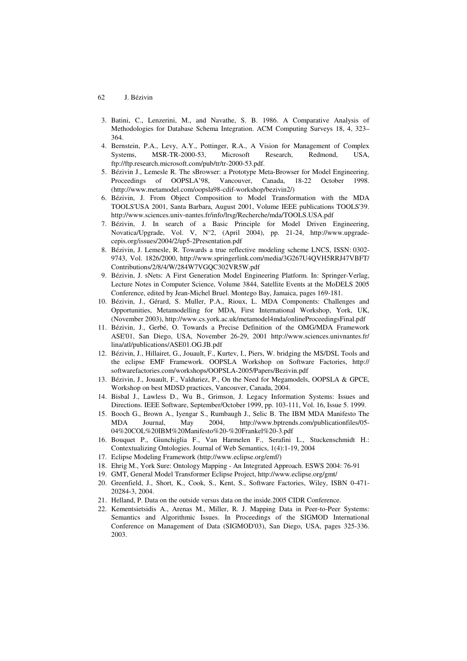- 3. Batini, C., Lenzerini, M., and Navathe, S. B. 1986. A Comparative Analysis of Methodologies for Database Schema Integration. ACM Computing Surveys 18, 4, 323– 364.
- 4. Bernstein, P.A., Levy, A.Y., Pottinger, R.A., A Vision for Management of Complex Systems, MSR-TR-2000-53, Microsoft Research, Redmond, USA, ftp://ftp.research.microsoft.com/pub/tr/tr-2000-53.pdf.
- 5. Bézivin J., Lemesle R. The sBrowser: a Prototype Meta-Browser for Model Engineering. Proceedings of OOPSLA'98, Vancouver, Canada, 18-22 October (http://www.metamodel.com/oopsla98-cdif-workshop/bezivin2/)
- 6. Bézivin, J. From Object Composition to Model Transformation with the MDA TOOLS'USA 2001, Santa Barbara, August 2001, Volume IEEE publications TOOLS'39. http://www.sciences.univ-nantes.fr/info/lrsg/Recherche/mda/TOOLS.USA.pdf
- 7. Bézivin, J. In search of a Basic Principle for Model Driven Engineering, Novatica/Upgrade, Vol. V, N°2, (April 2004), pp. 21-24, http://www.upgradecepis.org/issues/2004/2/up5-2Presentation.pdf
- 8. Bézivin, J. Lemesle, R. Towards a true reflective modeling scheme LNCS, ISSN: 0302- 9743, Vol. 1826/2000, http://www.springerlink.com/media/3G267U4QVH5RRJ47VBFT/ Contributions/2/8/4/W/284W7VGQC302VR5W.pdf
- 9. Bézivin, J. sNets: A First Generation Model Engineering Platform. In: Springer-Verlag, Lecture Notes in Computer Science, Volume 3844, Satellite Events at the MoDELS 2005 Conference, edited by Jean-Michel Bruel. Montego Bay, Jamaica, pages 169-181.
- 10. Bézivin, J., Gérard, S. Muller, P.A., Rioux, L. MDA Components: Challenges and Opportunities, Metamodelling for MDA, First International Workshop, York, UK, (November 2003), http://www.cs.york.ac.uk/metamodel4mda/onlineProceedingsFinal.pdf
- 11. Bézivin, J., Gerbé, O. Towards a Precise Definition of the OMG/MDA Framework ASE'01, San Diego, USA, November 26-29, 2001 http://www.sciences.univnantes.fr/ lina/atl/publications/ASE01.OG.JB.pdf
- 12. Bézivin, J., Hillairet, G., Jouault, F., Kurtev, I., Piers, W. bridging the MS/DSL Tools and the eclipse EMF Framework. OOPSLA Workshop on Software Factories, http:// softwarefactories.com/workshops/OOPSLA-2005/Papers/Bezivin.pdf
- 13. Bézivin, J., Jouault, F., Valduriez, P., On the Need for Megamodels, OOPSLA & GPCE, Workshop on best MDSD practices, Vancouver, Canada, 2004.
- 14. Bisbal J., Lawless D., Wu B., Grimson, J. Legacy Information Systems: Issues and Directions. IEEE Software, September/October 1999, pp. 103-111, Vol. 16, Issue 5. 1999.
- 15. Booch G., Brown A., Iyengar S., Rumbaugh J., Selic B. The IBM MDA Manifesto The MDA Journal, May 2004, http://www.bptrends.com/publicationfiles/05- 04%20COL%20IBM%20Manifesto%20-%20Frankel%20-3.pdf
- 16. Bouquet P., Giunchiglia F., Van Harmelen F., Serafini L., Stuckenschmidt H.: Contextualizing Ontologies. Journal of Web Semantics, 1(4):1-19, 2004
- 17. Eclipse Modeling Framework (http://www.eclipse.org/emf/)
- 18. Ehrig M., York Sure: Ontology Mapping An Integrated Approach. ESWS 2004: 76-91
- 19. GMT, General Model Transformer Eclipse Project, http://www.eclipse.org/gmt/
- 20. Greenfield, J., Short, K., Cook, S., Kent, S., Software Factories, Wiley, ISBN 0-471- 20284-3, 2004.
- 21. Helland, P. Data on the outside versus data on the inside.2005 CIDR Conference.
- 22. Kementsietsidis A., Arenas M., Miller, R. J. Mapping Data in Peer-to-Peer Systems: Semantics and Algorithmic Issues. In Proceedings of the SIGMOD International Conference on Management of Data (SIGMOD'03), San Diego, USA, pages 325-336. 2003.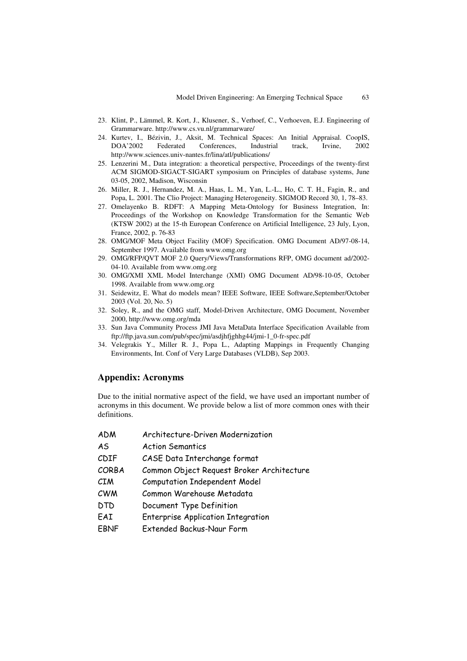- 23. Klint, P., Lämmel, R. Kort, J., Klusener, S., Verhoef, C., Verhoeven, E.J. Engineering of Grammarware. http://www.cs.vu.nl/grammarware/
- 24. Kurtev, I., Bézivin, J., Aksit, M. Technical Spaces: An Initial Appraisal. CoopIS, DOA'2002 Federated Conferences, Industrial track, Irvine, 2002 http://www.sciences.univ-nantes.fr/lina/atl/publications/
- 25. Lenzerini M., Data integration: a theoretical perspective, Proceedings of the twenty-first ACM SIGMOD-SIGACT-SIGART symposium on Principles of database systems, June 03-05, 2002, Madison, Wisconsin
- 26. Miller, R. J., Hernandez, M. A., Haas, L. M., Yan, L.-L., Ho, C. T. H., Fagin, R., and Popa, L. 2001. The Clio Project: Managing Heterogeneity. SIGMOD Record 30, 1, 78–83.
- 27. Omelayenko B. RDFT: A Mapping Meta-Ontology for Business Integration, In: Proceedings of the Workshop on Knowledge Transformation for the Semantic Web (KTSW 2002) at the 15-th European Conference on Artificial Intelligence, 23 July, Lyon, France, 2002, p. 76-83
- 28. OMG/MOF Meta Object Facility (MOF) Specification. OMG Document AD/97-08-14, September 1997. Available from www.omg.org
- 29. OMG/RFP/QVT MOF 2.0 Query/Views/Transformations RFP, OMG document ad/2002- 04-10. Available from www.omg.org
- 30. OMG/XMI XML Model Interchange (XMI) OMG Document AD/98-10-05, October 1998. Available from www.omg.org
- 31. Seidewitz, E. What do models mean? IEEE Software, IEEE Software,September/October 2003 (Vol. 20, No. 5)
- 32. Soley, R., and the OMG staff, Model-Driven Architecture, OMG Document, November 2000, http://www.omg.org/mda
- 33. Sun Java Community Process JMI Java MetaData Interface Specification Available from ftp://ftp.java.sun.com/pub/spec/jmi/asdjhfjghhg44/jmi-1\_0-fr-spec.pdf
- 34. Velegrakis Y., Miller R. J., Popa L., Adapting Mappings in Frequently Changing Environments, Int. Conf of Very Large Databases (VLDB), Sep 2003.

## **Appendix: Acronyms**

Due to the initial normative aspect of the field, we have used an important number of acronyms in this document. We provide below a list of more common ones with their definitions.

| <b>ADM</b>   | Architecture-Driven Modernization         |
|--------------|-------------------------------------------|
| AS           | <b>Action Semantics</b>                   |
| CDIF         | CASE Data Interchange format              |
| <b>CORBA</b> | Common Object Request Broker Architecture |
| <b>CIM</b>   | <b>Computation Independent Model</b>      |
| <b>CWM</b>   | Common Warehouse Metadata                 |
| <b>DTD</b>   | Document Type Definition                  |
| EAI          | <b>Enterprise Application Integration</b> |
| <b>EBNF</b>  | Extended Backus-Naur Form                 |